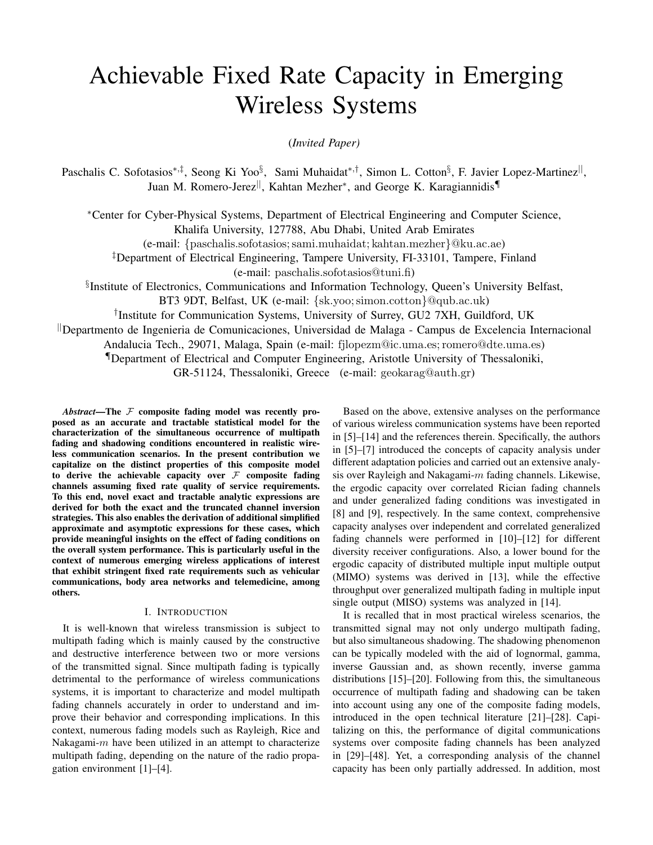# Achievable Fixed Rate Capacity in Emerging Wireless Systems

(*Invited Paper)*

Paschalis C. Sofotasios<sup>∗,‡</sup>, Seong Ki Yoo<sup>§</sup>, Sami Muhaidat<sup>∗,†</sup>, Simon L. Cotton<sup>§</sup>, F. Javier Lopez-Martinez<sup>||</sup>, Juan M. Romero-Jerez<sup>||</sup>, Kahtan Mezher<sup>∗</sup>, and George K. Karagiannidis¶

<sup>∗</sup>Center for Cyber-Physical Systems, Department of Electrical Engineering and Computer Science, Khalifa University, 127788, Abu Dhabi, United Arab Emirates

(e-mail: {paschalis.sofotasios; sami.muhaidat; kahtan.mezher}@ku.ac.ae)

‡Department of Electrical Engineering, Tampere University, FI-33101, Tampere, Finland (e-mail: paschalis.sofotasios@tuni.fi)

§ Institute of Electronics, Communications and Information Technology, Queen's University Belfast,

BT3 9DT, Belfast, UK (e-mail: {sk.yoo; simon.cotton}@qub.ac.uk)

† Institute for Communication Systems, University of Surrey, GU2 7XH, Guildford, UK

||Departmento de Ingenieria de Comunicaciones, Universidad de Malaga - Campus de Excelencia Internacional

Andalucia Tech., 29071, Malaga, Spain (e-mail: fjlopezm@ic.uma.es; romero@dte.uma.es)

¶Department of Electrical and Computer Engineering, Aristotle University of Thessaloniki,

GR-51124, Thessaloniki, Greece (e-mail: geokarag@auth.gr)

*Abstract*—The  $F$  composite fading model was recently proposed as an accurate and tractable statistical model for the characterization of the simultaneous occurrence of multipath fading and shadowing conditions encountered in realistic wireless communication scenarios. In the present contribution we capitalize on the distinct properties of this composite model to derive the achievable capacity over  $\mathcal F$  composite fading channels assuming fixed rate quality of service requirements. To this end, novel exact and tractable analytic expressions are derived for both the exact and the truncated channel inversion strategies. This also enables the derivation of additional simplified approximate and asymptotic expressions for these cases, which provide meaningful insights on the effect of fading conditions on the overall system performance. This is particularly useful in the context of numerous emerging wireless applications of interest that exhibit stringent fixed rate requirements such as vehicular communications, body area networks and telemedicine, among others.

## I. INTRODUCTION

It is well-known that wireless transmission is subject to multipath fading which is mainly caused by the constructive and destructive interference between two or more versions of the transmitted signal. Since multipath fading is typically detrimental to the performance of wireless communications systems, it is important to characterize and model multipath fading channels accurately in order to understand and improve their behavior and corresponding implications. In this context, numerous fading models such as Rayleigh, Rice and Nakagami- $m$  have been utilized in an attempt to characterize multipath fading, depending on the nature of the radio propagation environment [1]–[4].

Based on the above, extensive analyses on the performance of various wireless communication systems have been reported in [5]–[14] and the references therein. Specifically, the authors in [5]–[7] introduced the concepts of capacity analysis under different adaptation policies and carried out an extensive analysis over Rayleigh and Nakagami- $m$  fading channels. Likewise, the ergodic capacity over correlated Rician fading channels and under generalized fading conditions was investigated in [8] and [9], respectively. In the same context, comprehensive capacity analyses over independent and correlated generalized fading channels were performed in [10]–[12] for different diversity receiver configurations. Also, a lower bound for the ergodic capacity of distributed multiple input multiple output (MIMO) systems was derived in [13], while the effective throughput over generalized multipath fading in multiple input single output (MISO) systems was analyzed in [14].

It is recalled that in most practical wireless scenarios, the transmitted signal may not only undergo multipath fading, but also simultaneous shadowing. The shadowing phenomenon can be typically modeled with the aid of lognormal, gamma, inverse Gaussian and, as shown recently, inverse gamma distributions [15]–[20]. Following from this, the simultaneous occurrence of multipath fading and shadowing can be taken into account using any one of the composite fading models, introduced in the open technical literature [21]–[28]. Capitalizing on this, the performance of digital communications systems over composite fading channels has been analyzed in [29]–[48]. Yet, a corresponding analysis of the channel capacity has been only partially addressed. In addition, most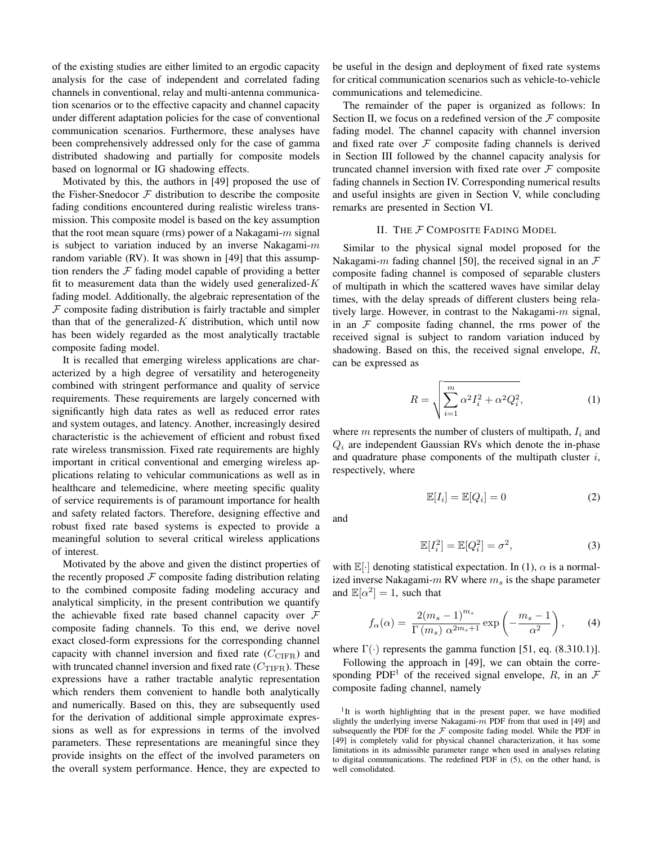of the existing studies are either limited to an ergodic capacity analysis for the case of independent and correlated fading channels in conventional, relay and multi-antenna communication scenarios or to the effective capacity and channel capacity under different adaptation policies for the case of conventional communication scenarios. Furthermore, these analyses have been comprehensively addressed only for the case of gamma distributed shadowing and partially for composite models based on lognormal or IG shadowing effects.

Motivated by this, the authors in [49] proposed the use of the Fisher-Snedocor  $F$  distribution to describe the composite fading conditions encountered during realistic wireless transmission. This composite model is based on the key assumption that the root mean square (rms) power of a Nakagami- $m$  signal is subject to variation induced by an inverse Nakagami- $m$ random variable (RV). It was shown in [49] that this assumption renders the  $F$  fading model capable of providing a better fit to measurement data than the widely used generalized- $K$ fading model. Additionally, the algebraic representation of the  $F$  composite fading distribution is fairly tractable and simpler than that of the generalized- $K$  distribution, which until now has been widely regarded as the most analytically tractable composite fading model.

It is recalled that emerging wireless applications are characterized by a high degree of versatility and heterogeneity combined with stringent performance and quality of service requirements. These requirements are largely concerned with significantly high data rates as well as reduced error rates and system outages, and latency. Another, increasingly desired characteristic is the achievement of efficient and robust fixed rate wireless transmission. Fixed rate requirements are highly important in critical conventional and emerging wireless applications relating to vehicular communications as well as in healthcare and telemedicine, where meeting specific quality of service requirements is of paramount importance for health and safety related factors. Therefore, designing effective and robust fixed rate based systems is expected to provide a meaningful solution to several critical wireless applications of interest.

Motivated by the above and given the distinct properties of the recently proposed  $F$  composite fading distribution relating to the combined composite fading modeling accuracy and analytical simplicity, in the present contribution we quantify the achievable fixed rate based channel capacity over  $\mathcal F$ composite fading channels. To this end, we derive novel exact closed-form expressions for the corresponding channel capacity with channel inversion and fixed rate  $(C_{CIFR})$  and with truncated channel inversion and fixed rate  $(C_{\text{TIFR}})$ . These expressions have a rather tractable analytic representation which renders them convenient to handle both analytically and numerically. Based on this, they are subsequently used for the derivation of additional simple approximate expressions as well as for expressions in terms of the involved parameters. These representations are meaningful since they provide insights on the effect of the involved parameters on the overall system performance. Hence, they are expected to

be useful in the design and deployment of fixed rate systems for critical communication scenarios such as vehicle-to-vehicle communications and telemedicine.

The remainder of the paper is organized as follows: In Section II, we focus on a redefined version of the  $\mathcal F$  composite fading model. The channel capacity with channel inversion and fixed rate over  $F$  composite fading channels is derived in Section III followed by the channel capacity analysis for truncated channel inversion with fixed rate over  $\mathcal F$  composite fading channels in Section IV. Corresponding numerical results and useful insights are given in Section V, while concluding remarks are presented in Section VI.

# II. THE F COMPOSITE FADING MODEL

Similar to the physical signal model proposed for the Nakagami-m fading channel [50], the received signal in an  $\mathcal F$ composite fading channel is composed of separable clusters of multipath in which the scattered waves have similar delay times, with the delay spreads of different clusters being relatively large. However, in contrast to the Nakagami- $m$  signal, in an  $F$  composite fading channel, the rms power of the received signal is subject to random variation induced by shadowing. Based on this, the received signal envelope, R, can be expressed as

$$
R = \sqrt{\sum_{i=1}^{m} \alpha^2 I_i^2 + \alpha^2 Q_i^2},
$$
 (1)

where  $m$  represents the number of clusters of multipath,  $I_i$  and  $Q_i$  are independent Gaussian RVs which denote the in-phase and quadrature phase components of the multipath cluster  $i$ , respectively, where

 $\mathbb{F}[\Omega]$ 

 $E[I]$ 

$$
\mathbb{E}[I_i] = \mathbb{E}[Q_i] = 0
$$

 $(2)$ 

and

$$
\mathbb{E}[I_i^2] = \mathbb{E}[Q_i^2] = \sigma^2,\tag{3}
$$

with  $\mathbb{E}[\cdot]$  denoting statistical expectation. In (1),  $\alpha$  is a normalized inverse Nakagami- $m$  RV where  $m_s$  is the shape parameter and  $\mathbb{E}[\alpha^2] = 1$ , such that

$$
f_{\alpha}(\alpha) = \frac{2(m_s - 1)^{m_s}}{\Gamma(m_s) \ \alpha^{2m_s + 1}} \exp\left(-\frac{m_s - 1}{\alpha^2}\right),\tag{4}
$$

where  $\Gamma(\cdot)$  represents the gamma function [51, eq. (8.310.1)].

Following the approach in [49], we can obtain the corresponding PDF<sup>1</sup> of the received signal envelope, R, in an  $\mathcal F$ composite fading channel, namely

<sup>1</sup>It is worth highlighting that in the present paper, we have modified slightly the underlying inverse Nakagami- $m$  PDF from that used in [49] and subsequently the PDF for the  $\mathcal F$  composite fading model. While the PDF in [49] is completely valid for physical channel characterization, it has some limitations in its admissible parameter range when used in analyses relating to digital communications. The redefined PDF in (5), on the other hand, is well consolidated.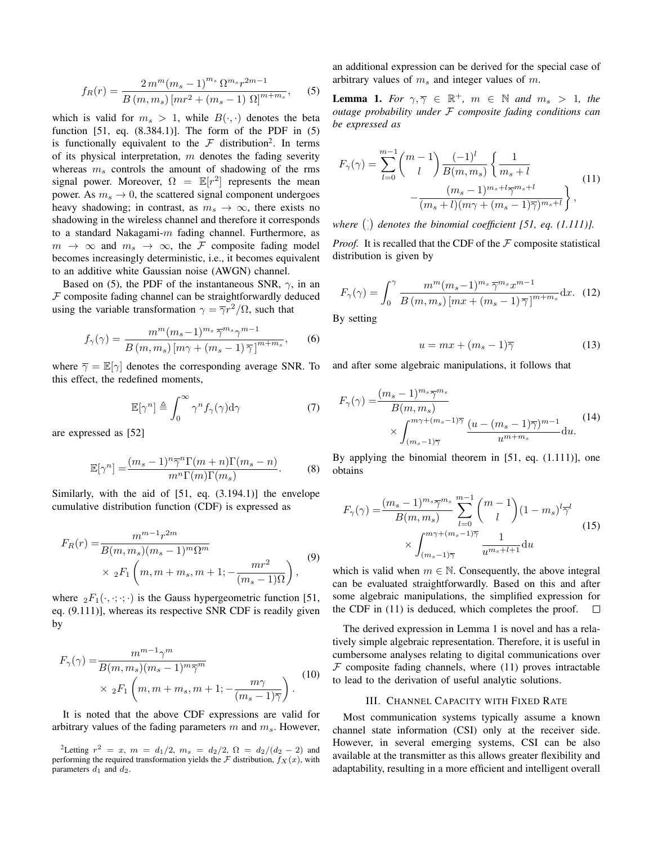$$
f_R(r) = \frac{2\,m^m (m_s - 1)^{m_s} \,\Omega^{m_s} r^{2m - 1}}{B\left(m, m_s\right) \left[mr^2 + (m_s - 1) \,\Omega\right]^{m + m_s}},\tag{5}
$$

which is valid for  $m_s > 1$ , while  $B(\cdot, \cdot)$  denotes the beta function [51, eq. (8.384.1)]. The form of the PDF in (5) is functionally equivalent to the  $\mathcal F$  distribution<sup>2</sup>. In terms of its physical interpretation,  $m$  denotes the fading severity whereas  $m<sub>s</sub>$  controls the amount of shadowing of the rms signal power. Moreover,  $\Omega = \mathbb{E}[r^2]$  represents the mean power. As  $m_s \to 0$ , the scattered signal component undergoes heavy shadowing; in contrast, as  $m_s \to \infty$ , there exists no shadowing in the wireless channel and therefore it corresponds to a standard Nakagami- $m$  fading channel. Furthermore, as  $m \rightarrow \infty$  and  $m_s \rightarrow \infty$ , the F composite fading model becomes increasingly deterministic, i.e., it becomes equivalent to an additive white Gaussian noise (AWGN) channel.

Based on (5), the PDF of the instantaneous SNR,  $\gamma$ , in an  $F$  composite fading channel can be straightforwardly deduced using the variable transformation  $\gamma = \overline{\gamma}r^2/\Omega$ , such that

$$
f_{\gamma}(\gamma) = \frac{m^m (m_s - 1)^{m_s} \, \overline{\gamma}^{m_s} \gamma^{m-1}}{B(m, m_s) \left[ m\gamma + (m_s - 1) \, \overline{\gamma} \right]^{m + m_s}},\tag{6}
$$

where  $\overline{\gamma} = \mathbb{E}[\gamma]$  denotes the corresponding average SNR. To this effect, the redefined moments,

$$
\mathbb{E}[\gamma^n] \triangleq \int_0^\infty \gamma^n f_\gamma(\gamma) \mathrm{d}\gamma \tag{7}
$$

are expressed as [52]

$$
\mathbb{E}[\gamma^n] = \frac{(m_s - 1)^n \overline{\gamma}^n \Gamma(m+n) \Gamma(m_s - n)}{m^n \Gamma(m) \Gamma(m_s)}.
$$
 (8)

Similarly, with the aid of [51, eq. (3.194.1)] the envelope cumulative distribution function (CDF) is expressed as

$$
F_R(r) = \frac{m^{m-1}r^{2m}}{B(m, m_s)(m_s - 1)^m \Omega^m}
$$
  
×  ${}_2F_1$   $\left(m, m + m_s, m + 1; -\frac{mr^2}{(m_s - 1)\Omega}\right)$ , (9)

where  ${}_2F_1(\cdot, \cdot; \cdot; \cdot)$  is the Gauss hypergeometric function [51, eq. (9.111)], whereas its respective SNR CDF is readily given by

$$
F_{\gamma}(\gamma) = \frac{m^{m-1}\gamma^m}{B(m, m_s)(m_s - 1)^m \overline{\gamma}^m}
$$
  
 
$$
\times {}_{2}F_{1}\left(m, m + m_s, m + 1; - \frac{m\gamma}{(m_s - 1)\overline{\gamma}}\right).
$$
 (10)

It is noted that the above CDF expressions are valid for arbitrary values of the fading parameters  $m$  and  $m_s$ . However, an additional expression can be derived for the special case of arbitrary values of  $m<sub>s</sub>$  and integer values of m.

**Lemma 1.** For  $\gamma, \overline{\gamma} \in \mathbb{R}^+$ ,  $m \in \mathbb{N}$  and  $m_s > 1$ , the *outage probability under* F *composite fading conditions can be expressed as*

$$
F_{\gamma}(\gamma) = \sum_{l=0}^{m-1} {m-1 \choose l} \frac{(-1)^l}{B(m, m_s)} \left\{ \frac{1}{m_s + l} - \frac{(m_s - 1)^{m_s + l} \overline{\gamma}^{m_s + l}}{(m_s + l)(m\gamma + (m_s - 1)\overline{\gamma})^{m_s + l}} \right\},
$$
(11)

where  $\binom{n}{k}$  denotes the binomial coefficient [51, eq.  $(1.111)$ ].

*Proof.* It is recalled that the CDF of the  $\mathcal F$  composite statistical distribution is given by

$$
F_{\gamma}(\gamma) = \int_0^{\gamma} \frac{m^m (m_s - 1)^{m_s} \,\overline{\gamma}^{m_s} x^{m-1}}{B\left(m, m_s\right) \left[mx + \left(m_s - 1\right) \overline{\gamma}\right]^{m + m_s}} \, \mathrm{d}x. \tag{12}
$$

By setting

$$
u = mx + (m_s - 1)\overline{\gamma} \tag{13}
$$

and after some algebraic manipulations, it follows that

$$
F_{\gamma}(\gamma) = \frac{(m_s - 1)^{m_s} \overline{\gamma}^{m_s}}{B(m, m_s)} \times \int_{(m_s - 1)\overline{\gamma}}^{m\gamma + (m_s - 1)\overline{\gamma}} \frac{(u - (m_s - 1)\overline{\gamma})^{m-1}}{u^{m+m_s}} du.
$$
\n(14)

By applying the binomial theorem in [51, eq. (1.111)], one obtains

$$
F_{\gamma}(\gamma) = \frac{(m_s - 1)^{m_s} \overline{\gamma}^{m_s}}{B(m, m_s)} \sum_{l=0}^{m-1} {m-1 \choose l} (1 - m_s)^l \overline{\gamma}^l
$$
  
 
$$
\times \int_{(m_s - 1)\overline{\gamma}}^{m\gamma + (m_s - 1)\overline{\gamma}} \frac{1}{u^{m_s + l + 1}} du
$$
 (15)

which is valid when  $m \in \mathbb{N}$ . Consequently, the above integral can be evaluated straightforwardly. Based on this and after some algebraic manipulations, the simplified expression for the CDF in (11) is deduced, which completes the proof.  $\Box$ 

The derived expression in Lemma 1 is novel and has a relatively simple algebraic representation. Therefore, it is useful in cumbersome analyses relating to digital communications over  $F$  composite fading channels, where (11) proves intractable to lead to the derivation of useful analytic solutions.

#### III. CHANNEL CAPACITY WITH FIXED RATE

Most communication systems typically assume a known channel state information (CSI) only at the receiver side. However, in several emerging systems, CSI can be also available at the transmitter as this allows greater flexibility and adaptability, resulting in a more efficient and intelligent overall

 $^{2}$ Letting  $r^{2} = x$ ,  $m = d_{1}/2$ ,  $m_{s} = d_{2}/2$ ,  $\Omega = d_{2}/(d_{2} - 2)$  and performing the required transformation yields the  $\mathcal F$  distribution,  $f_X(x)$ , with parameters  $d_1$  and  $d_2$ .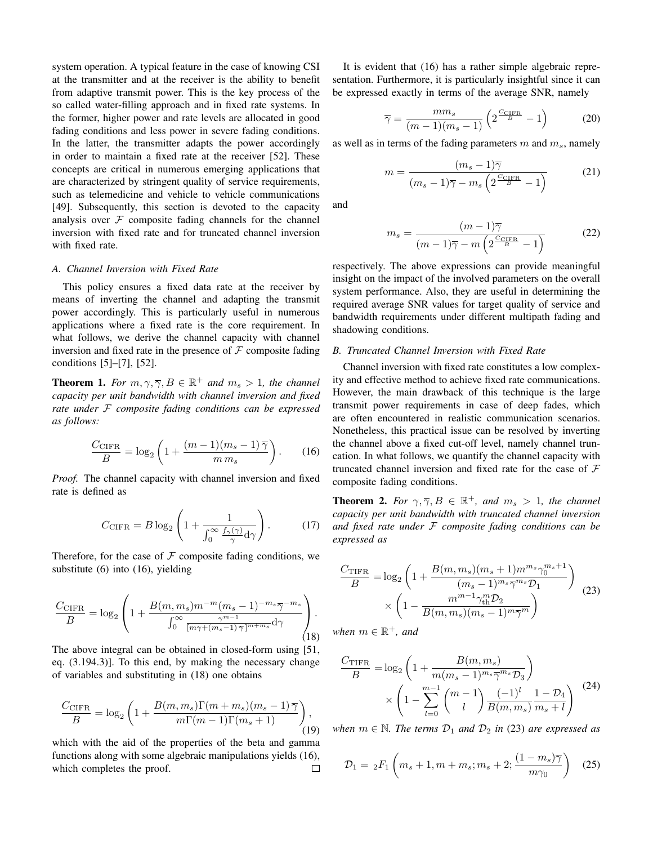system operation. A typical feature in the case of knowing CSI at the transmitter and at the receiver is the ability to benefit from adaptive transmit power. This is the key process of the so called water-filling approach and in fixed rate systems. In the former, higher power and rate levels are allocated in good fading conditions and less power in severe fading conditions. In the latter, the transmitter adapts the power accordingly in order to maintain a fixed rate at the receiver [52]. These concepts are critical in numerous emerging applications that are characterized by stringent quality of service requirements, such as telemedicine and vehicle to vehicle communications [49]. Subsequently, this section is devoted to the capacity analysis over  $F$  composite fading channels for the channel inversion with fixed rate and for truncated channel inversion with fixed rate.

### *A. Channel Inversion with Fixed Rate*

This policy ensures a fixed data rate at the receiver by means of inverting the channel and adapting the transmit power accordingly. This is particularly useful in numerous applications where a fixed rate is the core requirement. In what follows, we derive the channel capacity with channel inversion and fixed rate in the presence of  $\mathcal F$  composite fading conditions [5]–[7], [52].

**Theorem 1.** For  $m, \gamma, \overline{\gamma}, B \in \mathbb{R}^+$  and  $m_s > 1$ , the channel *capacity per unit bandwidth with channel inversion and fixed rate under* F *composite fading conditions can be expressed as follows:*

$$
\frac{C_{\text{CIFR}}}{B} = \log_2 \left( 1 + \frac{(m-1)(m_s - 1)\overline{\gamma}}{m \, m_s} \right). \tag{16}
$$

*Proof.* The channel capacity with channel inversion and fixed rate is defined as

$$
C_{\text{CIFR}} = B \log_2 \left( 1 + \frac{1}{\int_0^\infty \frac{f_\gamma(\gamma)}{\gamma} d\gamma} \right). \tag{17}
$$

Therefore, for the case of  $F$  composite fading conditions, we substitute (6) into (16), yielding

$$
\frac{C_{\text{CIFR}}}{B} = \log_2 \left( 1 + \frac{B(m, m_s)m^{-m}(m_s - 1)^{-m_s}\overline{\gamma}^{-m_s}}{\int_0^\infty \frac{\gamma^{m-1}}{[m\gamma + (m_s - 1)\,\overline{\gamma}\,]^{m+m_s}}\mathrm{d}\gamma} \right). \tag{18}
$$

The above integral can be obtained in closed-form using [51, eq. (3.194.3)]. To this end, by making the necessary change of variables and substituting in (18) one obtains

$$
\frac{C_{\text{CIFR}}}{B} = \log_2 \left( 1 + \frac{B(m, m_s)\Gamma(m + m_s)(m_s - 1)\overline{\gamma}}{m\Gamma(m - 1)\Gamma(m_s + 1)} \right),\tag{19}
$$

which with the aid of the properties of the beta and gamma functions along with some algebraic manipulations yields (16), which completes the proof. П

It is evident that (16) has a rather simple algebraic representation. Furthermore, it is particularly insightful since it can be expressed exactly in terms of the average SNR, namely

$$
\overline{\gamma} = \frac{mm_s}{(m-1)(m_s-1)} \left( 2^{\frac{C_{\text{CIFR}}}{B}} - 1 \right)
$$
 (20)

as well as in terms of the fading parameters  $m$  and  $m_s$ , namely

$$
m = \frac{(m_s - 1)\overline{\gamma}}{(m_s - 1)\overline{\gamma} - m_s \left(2^{\frac{C_{\text{CIFR}}}{B}} - 1\right)}
$$
(21)

and

$$
m_s = \frac{(m-1)\overline{\gamma}}{(m-1)\overline{\gamma} - m\left(2^{\frac{C_{\text{CIFR}}}{B}} - 1\right)}
$$
(22)

respectively. The above expressions can provide meaningful insight on the impact of the involved parameters on the overall system performance. Also, they are useful in determining the required average SNR values for target quality of service and bandwidth requirements under different multipath fading and shadowing conditions.

## *B. Truncated Channel Inversion with Fixed Rate*

Channel inversion with fixed rate constitutes a low complexity and effective method to achieve fixed rate communications. However, the main drawback of this technique is the large transmit power requirements in case of deep fades, which are often encountered in realistic communication scenarios. Nonetheless, this practical issue can be resolved by inverting the channel above a fixed cut-off level, namely channel truncation. In what follows, we quantify the channel capacity with truncated channel inversion and fixed rate for the case of  $F$ composite fading conditions.

**Theorem 2.** For  $\gamma$ ,  $\overline{\gamma}$ ,  $B \in \mathbb{R}^+$ , and  $m_s > 1$ , the channel *capacity per unit bandwidth with truncated channel inversion and fixed rate under* F *composite fading conditions can be expressed as*

$$
\frac{C_{\text{TIFR}}}{B} = \log_2 \left( 1 + \frac{B(m, m_s)(m_s + 1)m^{m_s} \gamma_0^{m_s + 1}}{(m_s - 1)^{m_s} \overline{\gamma}^{m_s} \mathcal{D}_1} \right) \times \left( 1 - \frac{m^{m-1} \gamma_{\text{th}}^m \mathcal{D}_2}{B(m, m_s)(m_s - 1)^m \overline{\gamma}^m} \right)
$$
\n(23)

 $when m \in \mathbb{R}^+$ *, and* 

$$
\frac{C_{\text{TIFR}}}{B} = \log_2 \left( 1 + \frac{B(m, m_s)}{m(m_s - 1)^{m_s} \overline{\gamma}^{m_s} \mathcal{D}_3} \right) \times \left( 1 - \sum_{l=0}^{m-1} {m-1 \choose l} \frac{(-1)^l}{B(m, m_s)} \frac{1 - \mathcal{D}_4}{m_s + l} \right)
$$
\n(24)

*when*  $m \in \mathbb{N}$ *. The terms*  $\mathcal{D}_1$  *and*  $\mathcal{D}_2$  *in* (23) *are expressed as* 

$$
\mathcal{D}_1 = {}_2F_1 \left( m_s + 1, m + m_s; m_s + 2; \frac{(1 - m_s)\overline{\gamma}}{m\gamma_0} \right) \tag{25}
$$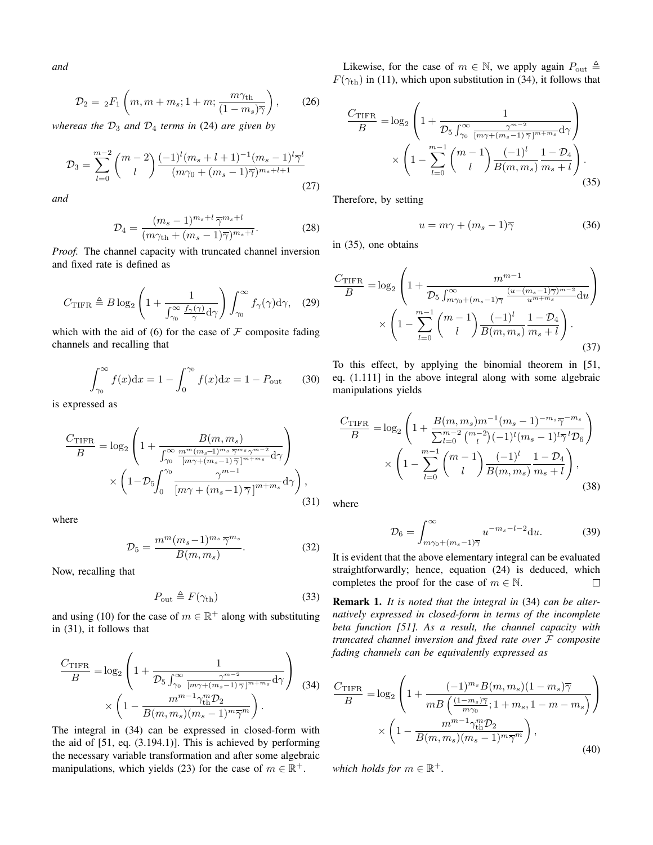*and*

$$
\mathcal{D}_2 = {}_2F_1\left(m, m + m_s; 1 + m; \frac{m\gamma_{\text{th}}}{(1 - m_s)\overline{\gamma}}\right),\qquad(26)
$$

*whereas the*  $D_3$  *and*  $D_4$  *terms in* (24) *are given by* 

$$
\mathcal{D}_3 = \sum_{l=0}^{m-2} {m-2 \choose l} \frac{(-1)^l (m_s + l + 1)^{-1} (m_s - 1)^l \overline{\gamma}^l}{(m\gamma_0 + (m_s - 1)\overline{\gamma})^{m_s + l + 1}}
$$
(27)

*and*

$$
\mathcal{D}_4 = \frac{(m_s - 1)^{m_s + l} \, \overline{\gamma}^{m_s + l}}{(m \gamma_{\text{th}} + (m_s - 1) \overline{\gamma})^{m_s + l}}. \tag{28}
$$

*Proof.* The channel capacity with truncated channel inversion and fixed rate is defined as

$$
C_{\text{TIFR}} \triangleq B \log_2 \left( 1 + \frac{1}{\int_{\gamma_0}^{\infty} \frac{f_{\gamma}(\gamma)}{\gamma} d\gamma} \right) \int_{\gamma_0}^{\infty} f_{\gamma}(\gamma) d\gamma, \quad (29)
$$

which with the aid of (6) for the case of  $\mathcal F$  composite fading channels and recalling that

$$
\int_{\gamma_0}^{\infty} f(x)dx = 1 - \int_0^{\gamma_0} f(x)dx = 1 - P_{\text{out}} \qquad (30)
$$

is expressed as

$$
\frac{C_{\text{TIFR}}}{B} = \log_2 \left( 1 + \frac{B(m, m_s)}{\int_{\gamma_0}^{\infty} \frac{m^m (m_s - 1)^{m_s} \overline{\gamma}^{m_s} \gamma^{m-2}}{[m\gamma + (m_s - 1)\overline{\gamma}]^{m + m_s}} d\gamma} \right) \times \left( 1 - \mathcal{D}_5 \int_0^{\gamma_0} \frac{\gamma^{m-1}}{[m\gamma + (m_s - 1)\overline{\gamma}]^{m + m_s}} d\gamma \right), \tag{31}
$$

where

$$
\mathcal{D}_5 = \frac{m^m (m_s - 1)^{m_s} \overline{\gamma}^{m_s}}{B(m, m_s)}.
$$
\n(32)

Now, recalling that

$$
P_{\text{out}} \triangleq F(\gamma_{\text{th}}) \tag{33}
$$

and using (10) for the case of  $m \in \mathbb{R}^+$  along with substituting in (31), it follows that

$$
\frac{C_{\text{TIFR}}}{B} = \log_2 \left( 1 + \frac{1}{\mathcal{D}_5 \int_{\gamma_0}^{\infty} \frac{\gamma^{m-2}}{[m\gamma + (m_s - 1)\overline{\gamma}]^{m+m_s}} d\gamma} \right) \tag{34}
$$
\n
$$
\times \left( 1 - \frac{m^{m-1} \gamma_{\text{th}}^m \mathcal{D}_2}{B(m, m_s)(m_s - 1)^m \overline{\gamma}^m} \right).
$$

The integral in (34) can be expressed in closed-form with the aid of [51, eq. (3.194.1)]. This is achieved by performing the necessary variable transformation and after some algebraic manipulations, which yields (23) for the case of  $m \in \mathbb{R}^+$ .

Likewise, for the case of  $m \in \mathbb{N}$ , we apply again  $P_{\text{out}} \triangleq$  $F(\gamma_{\text{th}})$  in (11), which upon substitution in (34), it follows that

$$
\frac{C_{\text{TIFR}}}{B} = \log_2 \left( 1 + \frac{1}{\mathcal{D}_5 \int_{\gamma_0}^{\infty} \frac{\gamma^{m-2}}{[m\gamma + (m_s - 1)\bar{\gamma}]^{m + m_s}} d\gamma} \right) \times \left( 1 - \sum_{l=0}^{m-1} {m-1 \choose l} \frac{(-1)^l}{B(m, m_s)} \frac{1 - \mathcal{D}_4}{m_s + l} \right). \tag{35}
$$

Therefore, by setting

$$
u = m\gamma + (m_s - 1)\overline{\gamma} \tag{36}
$$

in (35), one obtains

$$
\frac{C_{\text{TIFR}}}{B} = \log_2 \left( 1 + \frac{m^{m-1}}{\mathcal{D}_5 \int_{m\gamma_0 + (m_s - 1)\overline{\gamma}}^{\infty} \frac{(u - (m_s - 1)\overline{\gamma})^{m-2}}{u^{m+m_s}} du} \right) \times \left( 1 - \sum_{l=0}^{m-1} {m-1 \choose l} \frac{(-1)^l}{B(m, m_s)} \frac{1 - \mathcal{D}_4}{m_s + l} \right). \tag{37}
$$

To this effect, by applying the binomial theorem in [51, eq. (1.111] in the above integral along with some algebraic manipulations yields

$$
\frac{C_{\text{TIFR}}}{B} = \log_2 \left( 1 + \frac{B(m, m_s)m^{-1}(m_s - 1)^{-m_s}\overline{\gamma}^{-m_s}}{\sum_{l=0}^{m-2} {m-2 \choose l} (-1)^l (m_s - 1)^l \overline{\gamma}^l \mathcal{D}_6} \right) \times \left( 1 - \sum_{l=0}^{m-1} {m-1 \choose l} \frac{(-1)^l}{B(m, m_s)} \frac{1 - \mathcal{D}_4}{m_s + l} \right), \tag{38}
$$

where

$$
\mathcal{D}_6 = \int_{m\gamma_0 + (m_s - 1)\overline{\gamma}}^{\infty} u^{-m_s - l - 2} \mathrm{d}u. \tag{39}
$$

It is evident that the above elementary integral can be evaluated straightforwardly; hence, equation (24) is deduced, which completes the proof for the case of  $m \in \mathbb{N}$ .  $\Box$ 

Remark 1. *It is noted that the integral in* (34) *can be alternatively expressed in closed-form in terms of the incomplete beta function [51]. As a result, the channel capacity with truncated channel inversion and fixed rate over* F *composite fading channels can be equivalently expressed as*

$$
\frac{C_{\text{TIFR}}}{B} = \log_2 \left( 1 + \frac{(-1)^{m_s} B(m, m_s)(1 - m_s)\overline{\gamma}}{m B\left(\frac{(1 - m_s)\overline{\gamma}}{m \gamma_0}; 1 + m_s, 1 - m - m_s\right)} \right) \times \left( 1 - \frac{m^{m-1} \gamma_{\text{th}}^m \mathcal{D}_2}{B(m, m_s)(m_s - 1)^m \overline{\gamma}^m} \right), \tag{40}
$$

*which holds for*  $m \in \mathbb{R}^+$ .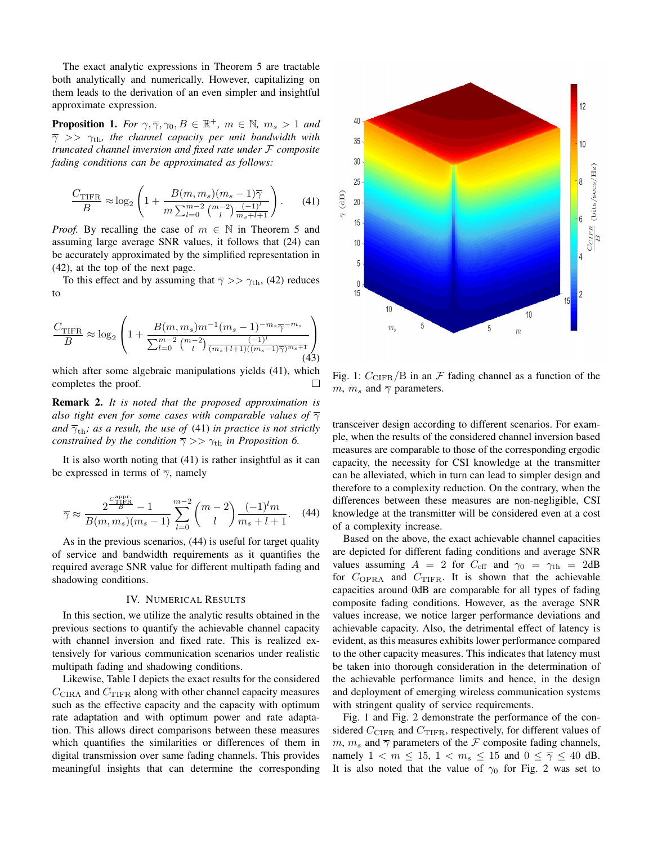The exact analytic expressions in Theorem 5 are tractable both analytically and numerically. However, capitalizing on them leads to the derivation of an even simpler and insightful approximate expression.

**Proposition 1.** *For*  $\gamma$ ,  $\overline{\gamma}$ ,  $\gamma$ <sub>0</sub>,  $B \in \mathbb{R}^+$ ,  $m \in \mathbb{N}$ ,  $m_s > 1$  *and*  $\overline{\gamma}$   $>>$   $\gamma_{\text{th}}$ , the channel capacity per unit bandwidth with *truncated channel inversion and fixed rate under* F *composite fading conditions can be approximated as follows:*

$$
\frac{C_{\text{TIFR}}}{B} \approx \log_2 \left( 1 + \frac{B(m, m_s)(m_s - 1)\overline{\gamma}}{m \sum_{l=0}^{m-2} {m-2 \choose l} \frac{(-1)^l}{m_s + l + 1}} \right). \tag{41}
$$

*Proof.* By recalling the case of  $m \in \mathbb{N}$  in Theorem 5 and assuming large average SNR values, it follows that (24) can be accurately approximated by the simplified representation in (42), at the top of the next page.

To this effect and by assuming that  $\overline{\gamma}$  >>  $\gamma_{\text{th}}$ , (42) reduces to

$$
\frac{C_{\text{TIFR}}}{B} \approx \log_2 \left( 1 + \frac{B(m, m_s)m^{-1}(m_s - 1)^{-m_s}\overline{\gamma}^{-m_s}}{\sum_{l=0}^{m-2} {m-2 \choose l} \frac{(-1)^l}{(m_s + l + 1)((m_s - 1)\overline{\gamma})^{m_s + 1}}} \right)
$$
(43)

which after some algebraic manipulations yields (41), which completes the proof.  $\Box$ 

Remark 2. *It is noted that the proposed approximation is also tight even for some cases with comparable values of*  $\overline{\gamma}$ *and*  $\bar{\gamma}_{\text{th}}$ *; as a result, the use of* (41) *in practice is not strictly constrained by the condition*  $\overline{\gamma}$  >>  $\gamma_{\text{th}}$  *in Proposition 6.* 

It is also worth noting that (41) is rather insightful as it can be expressed in terms of  $\overline{\gamma}$ , namely

$$
\overline{\gamma} \approx \frac{2^{\frac{C_{\text{TIER}}^{\text{appr}}}{B}} - 1}{B(m, m_s)(m_s - 1)} \sum_{l=0}^{m-2} {m-2 \choose l} \frac{(-1)^l m}{m_s + l + 1}.
$$
 (44)

As in the previous scenarios, (44) is useful for target quality of service and bandwidth requirements as it quantifies the required average SNR value for different multipath fading and shadowing conditions.

### IV. NUMERICAL RESULTS

In this section, we utilize the analytic results obtained in the previous sections to quantify the achievable channel capacity with channel inversion and fixed rate. This is realized extensively for various communication scenarios under realistic multipath fading and shadowing conditions.

Likewise, Table I depicts the exact results for the considered  $C_{\text{CIRA}}$  and  $C_{\text{TIFR}}$  along with other channel capacity measures such as the effective capacity and the capacity with optimum rate adaptation and with optimum power and rate adaptation. This allows direct comparisons between these measures which quantifies the similarities or differences of them in digital transmission over same fading channels. This provides meaningful insights that can determine the corresponding



Fig. 1:  $C_{\text{CIFR}}/B$  in an F fading channel as a function of the m,  $m_s$  and  $\overline{\gamma}$  parameters.

transceiver design according to different scenarios. For example, when the results of the considered channel inversion based measures are comparable to those of the corresponding ergodic capacity, the necessity for CSI knowledge at the transmitter can be alleviated, which in turn can lead to simpler design and therefore to a complexity reduction. On the contrary, when the differences between these measures are non-negligible, CSI knowledge at the transmitter will be considered even at a cost of a complexity increase.

Based on the above, the exact achievable channel capacities are depicted for different fading conditions and average SNR values assuming  $A = 2$  for  $C_{\text{eff}}$  and  $\gamma_0 = \gamma_{\text{th}} = 2 \text{dB}$ for  $C_{\text{OPRA}}$  and  $C_{\text{TIFR}}$ . It is shown that the achievable capacities around 0dB are comparable for all types of fading composite fading conditions. However, as the average SNR values increase, we notice larger performance deviations and achievable capacity. Also, the detrimental effect of latency is evident, as this measures exhibits lower performance compared to the other capacity measures. This indicates that latency must be taken into thorough consideration in the determination of the achievable performance limits and hence, in the design and deployment of emerging wireless communication systems with stringent quality of service requirements.

Fig. 1 and Fig. 2 demonstrate the performance of the considered  $C_{\text{CIFR}}$  and  $C_{\text{TIFR}}$ , respectively, for different values of  $m, m_s$  and  $\overline{\gamma}$  parameters of the F composite fading channels, namely  $1 < m \leq 15$ ,  $1 < m_s \leq 15$  and  $0 \leq \overline{\gamma} \leq 40$  dB. It is also noted that the value of  $\gamma_0$  for Fig. 2 was set to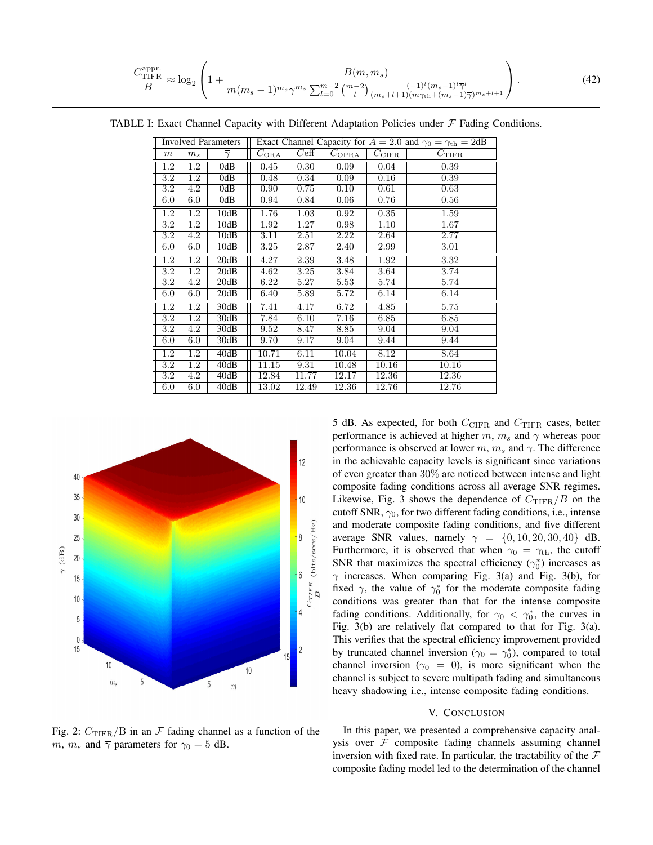$$
\frac{C_{\text{TIFR}}^{\text{appr.}}}{B} \approx \log_2 \left( 1 + \frac{B(m, m_s)}{m(m_s - 1)^{m_s} \overline{\gamma}^{m_s} \sum_{l=0}^{m-2} {m-2 \choose l} \frac{(-1)^l (m_s - 1)^l \overline{\gamma}^l}{(m_s + l + 1)(m \gamma_{\text{th}} + (m_s - 1)\overline{\gamma})^{m_s + l + 1}}} \right). \tag{42}
$$

TABLE I: Exact Channel Capacity with Different Adaptation Policies under  $F$  Fading Conditions.

| <b>Involved Parameters</b> |                  |                     | Exact Channel Capacity for $A = 2.0$ and $\gamma_0 = \gamma_{\text{th}} = 2$ dB |       |                 |                |                |
|----------------------------|------------------|---------------------|---------------------------------------------------------------------------------|-------|-----------------|----------------|----------------|
| $\,m$                      | $m_s$            | $\overline{\gamma}$ | $C_{\rm ORA}$                                                                   | Ceff  | $C_{\rm{OPRA}}$ | $C_{\rm CIFR}$ | $C_{\rm TIFR}$ |
| $1.2\,$                    | $1.2\,$          | 0dB                 | 0.45                                                                            | 0.30  | 0.09            | 0.04           | 0.39           |
| 3.2                        | $\overline{1.2}$ | 0dB                 | 0.48                                                                            | 0.34  | 0.09            | 0.16           | 0.39           |
| $3.2\,$                    | 4.2              | 0dB                 | 0.90                                                                            | 0.75  | 0.10            | 0.61           | 0.63           |
| 6.0                        | 6.0              | 0dB                 | 0.94                                                                            | 0.84  | 0.06            | 0.76           | 0.56           |
| $1.\overline{2}$           | $\overline{1.2}$ | 10dB                | 1.76                                                                            | 1.03  | 0.92            | 0.35           | 1.59           |
| $3.2\,$                    | 1.2              | 10dB                | 1.92                                                                            | 1.27  | 0.98            | 1.10           | 1.67           |
| $3.2\,$                    | 4.2              | 10dB                | 3.11                                                                            | 2.51  | 2.22            | 2.64           | 2.77           |
| 6.0                        | 6.0              | 10dB                | 3.25                                                                            | 2.87  | 2.40            | 2.99           | 3.01           |
| $1.\overline{2}$           | 1.2              | 20dB                | 4.27                                                                            | 2.39  | 3.48            | 1.92           | 3.32           |
| $\overline{3.2}$           | $\overline{1.2}$ | 20dB                | 4.62                                                                            | 3.25  | 3.84            | 3.64           | 3.74           |
| $3.2\,$                    | 4.2              | 20dB                | 6.22                                                                            | 5.27  | 5.53            | 5.74           | 5.74           |
| 6.0                        | 6.0              | 20dB                | 6.40                                                                            | 5.89  | 5.72            | 6.14           | 6.14           |
| $1.\overline{2}$           | 1.2              | 30dB                | 7.41                                                                            | 4.17  | 6.72            | 4.85           | 5.75           |
| 3.2                        | $1.2\,$          | 30dB                | 7.84                                                                            | 6.10  | 7.16            | 6.85           | 6.85           |
| $3.2\,$                    | 4.2              | 30dB                | 9.52                                                                            | 8.47  | 8.85            | 9.04           | 9.04           |
| 6.0                        | 6.0              | 30dB                | 9.70                                                                            | 9.17  | 9.04            | 9.44           | 9.44           |
| $\overline{1.2}$           | $\overline{1.2}$ | 40dB                | 10.71                                                                           | 6.11  | 10.04           | 8.12           | 8.64           |
| $3.2\,$                    | $1.2\,$          | 40dB                | 11.15                                                                           | 9.31  | 10.48           | 10.16          | 10.16          |
| $3.2\,$                    | 4.2              | 40dB                | 12.84                                                                           | 11.77 | 12.17           | 12.36          | 12.36          |
| 6.0                        | 6.0              | 40dB                | 13.02                                                                           | 12.49 | 12.36           | 12.76          | 12.76          |



5 dB. As expected, for both  $C_{\text{CIFR}}$  and  $C_{\text{TIFR}}$  cases, better performance is achieved at higher m,  $m_s$  and  $\overline{\gamma}$  whereas poor performance is observed at lower m,  $m_s$  and  $\overline{\gamma}$ . The difference in the achievable capacity levels is significant since variations of even greater than 30% are noticed between intense and light composite fading conditions across all average SNR regimes. Likewise, Fig. 3 shows the dependence of  $C_{\text{TIFR}}/B$  on the cutoff SNR,  $\gamma_0$ , for two different fading conditions, i.e., intense and moderate composite fading conditions, and five different average SNR values, namely  $\overline{\gamma} = \{0, 10, 20, 30, 40\}$  dB. Furthermore, it is observed that when  $\gamma_0 = \gamma_{\text{th}}$ , the cutoff SNR that maximizes the spectral efficiency  $(\gamma_0^*)$  increases as  $\overline{\gamma}$  increases. When comparing Fig. 3(a) and Fig. 3(b), for fixed  $\bar{\gamma}$ , the value of  $\gamma_0^*$  for the moderate composite fading conditions was greater than that for the intense composite fading conditions. Additionally, for  $\gamma_0 < \gamma_0^*$ , the curves in Fig. 3(b) are relatively flat compared to that for Fig. 3(a). This verifies that the spectral efficiency improvement provided by truncated channel inversion ( $\gamma_0 = \gamma_0^*$ ), compared to total channel inversion ( $\gamma_0 = 0$ ), is more significant when the channel is subject to severe multipath fading and simultaneous heavy shadowing i.e., intense composite fading conditions.

## V. CONCLUSION

Fig. 2:  $C_{\text{TIFR}}/B$  in an  $\mathcal F$  fading channel as a function of the m,  $m_s$  and  $\overline{\gamma}$  parameters for  $\gamma_0 = 5$  dB.

In this paper, we presented a comprehensive capacity analysis over  $F$  composite fading channels assuming channel inversion with fixed rate. In particular, the tractability of the  $\mathcal F$ composite fading model led to the determination of the channel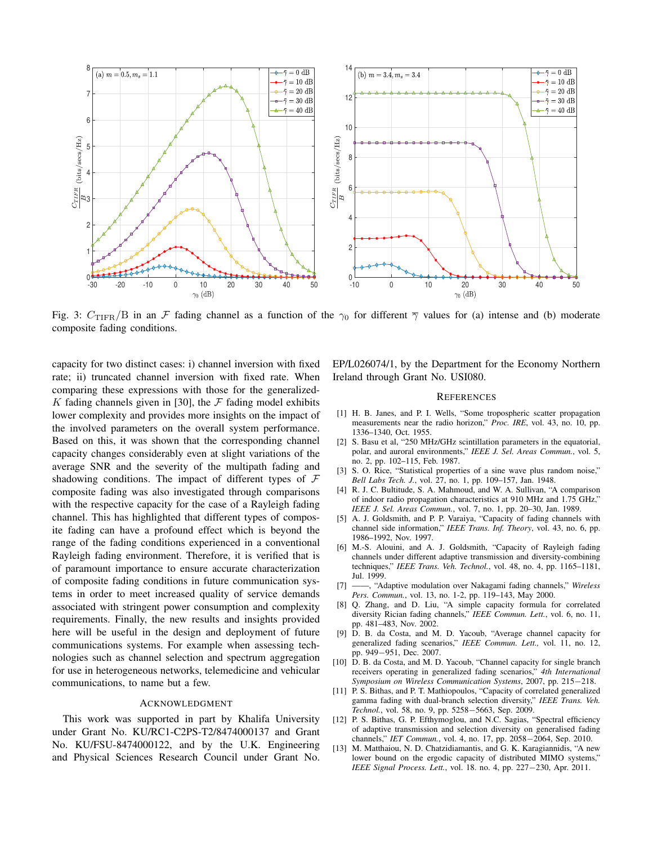

Fig. 3:  $C_{\text{TIFR}}/B$  in an F fading channel as a function of the  $\gamma_0$  for different  $\overline{\gamma}$  values for (a) intense and (b) moderate composite fading conditions.

capacity for two distinct cases: i) channel inversion with fixed rate; ii) truncated channel inversion with fixed rate. When comparing these expressions with those for the generalized-K fading channels given in [30], the  $\mathcal F$  fading model exhibits lower complexity and provides more insights on the impact of the involved parameters on the overall system performance. Based on this, it was shown that the corresponding channel capacity changes considerably even at slight variations of the average SNR and the severity of the multipath fading and shadowing conditions. The impact of different types of  $F$ composite fading was also investigated through comparisons with the respective capacity for the case of a Rayleigh fading channel. This has highlighted that different types of composite fading can have a profound effect which is beyond the range of the fading conditions experienced in a conventional Rayleigh fading environment. Therefore, it is verified that is of paramount importance to ensure accurate characterization of composite fading conditions in future communication systems in order to meet increased quality of service demands associated with stringent power consumption and complexity requirements. Finally, the new results and insights provided here will be useful in the design and deployment of future communications systems. For example when assessing technologies such as channel selection and spectrum aggregation for use in heterogeneous networks, telemedicine and vehicular communications, to name but a few.

#### ACKNOWLEDGMENT

This work was supported in part by Khalifa University under Grant No. KU/RC1-C2PS-T2/8474000137 and Grant No. KU/FSU-8474000122, and by the U.K. Engineering and Physical Sciences Research Council under Grant No. EP/L026074/1, by the Department for the Economy Northern Ireland through Grant No. USI080.

#### **REFERENCES**

- [1] H. B. Janes, and P. I. Wells, "Some tropospheric scatter propagation measurements near the radio horizon," *Proc. IRE*, vol. 43, no. 10, pp. 1336–1340, Oct. 1955.
- [2] S. Basu et al, "250 MHz/GHz scintillation parameters in the equatorial, polar, and auroral environments," *IEEE J. Sel. Areas Commun.*, vol. 5, no. 2, pp. 102–115, Feb. 1987.
- [3] S. O. Rice, "Statistical properties of a sine wave plus random noise," *Bell Labs Tech. J.*, vol. 27, no. 1, pp. 109–157, Jan. 1948.
- [4] R. J. C. Bultitude, S. A. Mahmoud, and W. A. Sullivan, "A comparison of indoor radio propagation characteristics at 910 MHz and 1.75 GHz," *IEEE J. Sel. Areas Commun.*, vol. 7, no. 1, pp. 20–30, Jan. 1989.
- [5] A. J. Goldsmith, and P. P. Varaiya, "Capacity of fading channels with channel side information," *IEEE Trans. Inf. Theory*, vol. 43, no. 6, pp. 1986–1992, Nov. 1997.
- [6] M.-S. Alouini, and A. J. Goldsmith, "Capacity of Rayleigh fading channels under different adaptive transmission and diversity-combining techniques," *IEEE Trans. Veh. Technol.*, vol. 48, no. 4, pp. 1165–1181, Jul. 1999.
- [7] ——, "Adaptive modulation over Nakagami fading channels," *Wireless Pers. Commun.*, vol. 13, no. 1-2, pp. 119–143, May 2000.
- [8] Q. Zhang, and D. Liu, "A simple capacity formula for correlated diversity Rician fading channels," *IEEE Commun. Lett.*, vol. 6, no. 11, pp. 481–483, Nov. 2002.
- [9] D. B. da Costa, and M. D. Yacoub, "Average channel capacity for generalized fading scenarios," *IEEE Commun. Lett.,* vol. 11, no. 12, pp. 949−951, Dec. 2007.
- [10] D. B. da Costa, and M. D. Yacoub, "Channel capacity for single branch receivers operating in generalized fading scenarios," *4th International Symposium on Wireless Communication Systems*, 2007, pp. 215−218.
- [11] P. S. Bithas, and P. T. Mathiopoulos, "Capacity of correlated generalized gamma fading with dual-branch selection diversity," *IEEE Trans. Veh. Technol.*, vol. 58, no. 9, pp. 5258−5663, Sep. 2009.
- [12] P. S. Bithas, G. P. Efthymoglou, and N.C. Sagias, "Spectral efficiency of adaptive transmission and selection diversity on generalised fading channels," *IET Commun.*, vol. 4, no. 17, pp. 2058−2064, Sep. 2010.
- [13] M. Matthaiou, N. D. Chatzidiamantis, and G. K. Karagiannidis, "A new lower bound on the ergodic capacity of distributed MIMO systems," *IEEE Signal Process. Lett.*, vol. 18. no. 4, pp. 227−230, Apr. 2011.